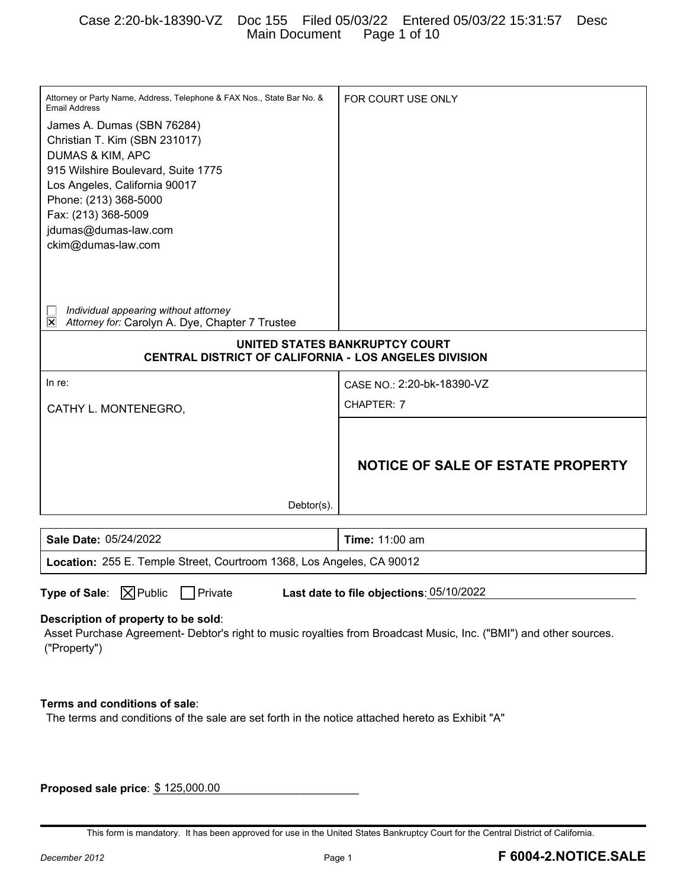## Case 2:20-bk-18390-VZ Doc 155 Filed 05/03/22 Entered 05/03/22 15:31:57 Desc Main Document Page 1 of 10

| Attorney or Party Name, Address, Telephone & FAX Nos., State Bar No. &<br><b>Email Address</b>                                                           | FOR COURT USE ONLY                       |
|----------------------------------------------------------------------------------------------------------------------------------------------------------|------------------------------------------|
| James A. Dumas (SBN 76284)                                                                                                                               |                                          |
| Christian T. Kim (SBN 231017)                                                                                                                            |                                          |
| <b>DUMAS &amp; KIM, APC</b>                                                                                                                              |                                          |
| 915 Wilshire Boulevard, Suite 1775                                                                                                                       |                                          |
| Los Angeles, California 90017                                                                                                                            |                                          |
| Phone: (213) 368-5000                                                                                                                                    |                                          |
| Fax: (213) 368-5009<br>jdumas@dumas-law.com                                                                                                              |                                          |
| ckim@dumas-law.com                                                                                                                                       |                                          |
|                                                                                                                                                          |                                          |
|                                                                                                                                                          |                                          |
|                                                                                                                                                          |                                          |
| Individual appearing without attorney<br>$\overline{\mathsf{x}}$<br>Attorney for: Carolyn A. Dye, Chapter 7 Trustee                                      |                                          |
|                                                                                                                                                          | UNITED STATES BANKRUPTCY COURT           |
| CENTRAL DISTRICT OF CALIFORNIA - LOS ANGELES DIVISION                                                                                                    |                                          |
| In re:                                                                                                                                                   | CASE NO.: 2:20-bk-18390-VZ               |
| CATHY L. MONTENEGRO,                                                                                                                                     | CHAPTER: 7                               |
|                                                                                                                                                          |                                          |
|                                                                                                                                                          |                                          |
|                                                                                                                                                          | NOTICE OF SALE OF ESTATE PROPERTY        |
|                                                                                                                                                          |                                          |
|                                                                                                                                                          |                                          |
|                                                                                                                                                          |                                          |
| Debtor(s).                                                                                                                                               |                                          |
| Sale Date: 05/24/2022                                                                                                                                    | Time: 11:00 am                           |
| Location: 255 E. Temple Street, Courtroom 1368, Los Angeles, CA 90012                                                                                    |                                          |
|                                                                                                                                                          |                                          |
| <b>Type of Sale:</b> $\boxed{\times}$ Public<br>$\Box$ Private                                                                                           | Last date to file objections: 05/10/2022 |
|                                                                                                                                                          |                                          |
| Description of property to be sold:<br>Asset Purchase Agreement- Debtor's right to music royalties from Broadcast Music, Inc. ("BMI") and other sources. |                                          |
| ("Property")                                                                                                                                             |                                          |
|                                                                                                                                                          |                                          |
|                                                                                                                                                          |                                          |
| Terms and conditions of sale:                                                                                                                            |                                          |
| The terms and conditions of the sale are set forth in the notice attached hereto as Exhibit "A"                                                          |                                          |
|                                                                                                                                                          |                                          |
|                                                                                                                                                          |                                          |
|                                                                                                                                                          |                                          |
| Proposed sale price: \$125,000.00                                                                                                                        |                                          |

This form is mandatory. It has been approved for use in the United States Bankruptcy Court for the Central District of California.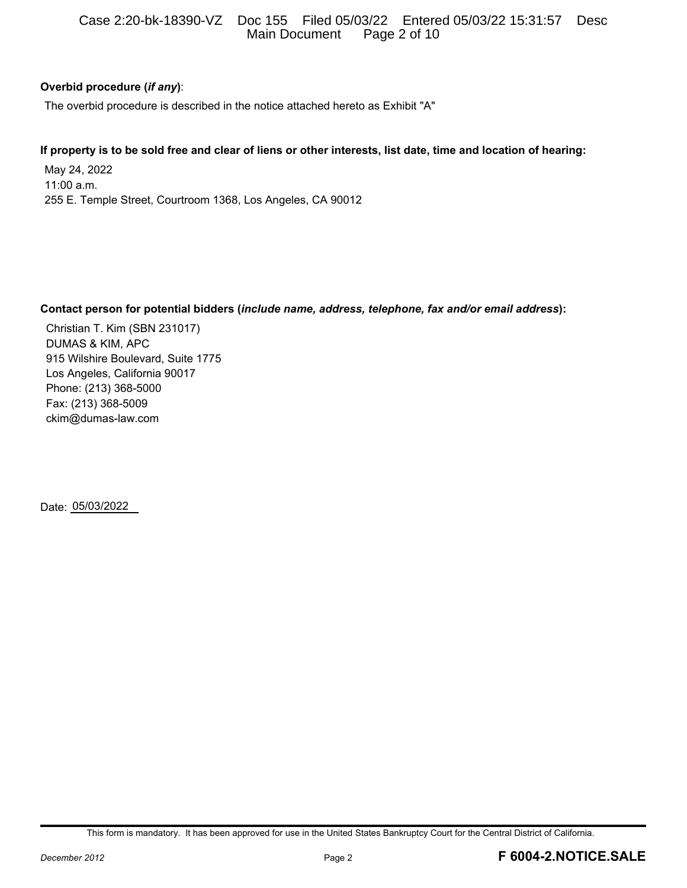## Case 2:20-bk-18390-VZ Doc 155 Filed 05/03/22 Entered 05/03/22 15:31:57 Desc Main Document Page 2 of 10

## **Overbid procedure (***if any***)**:

The overbid procedure is described in the notice attached hereto as Exhibit "A"

### **If property is to be sold free and clear of liens or other interests, list date, time and location of hearing:**

May 24, 2022 11:00 a.m. 255 E. Temple Street, Courtroom 1368, Los Angeles, CA 90012

### **Contact person for potential bidders (***include name, address, telephone, fax and/or email address***):**

Christian T. Kim (SBN 231017) DUMAS & KIM, APC 915 Wilshire Boulevard, Suite 1775 Los Angeles, California 90017 Phone: (213) 368-5000 Fax: (213) 368-5009 ckim@dumas-law.com

Date: 05/03/2022

This form is mandatory. It has been approved for use in the United States Bankruptcy Court for the Central District of California.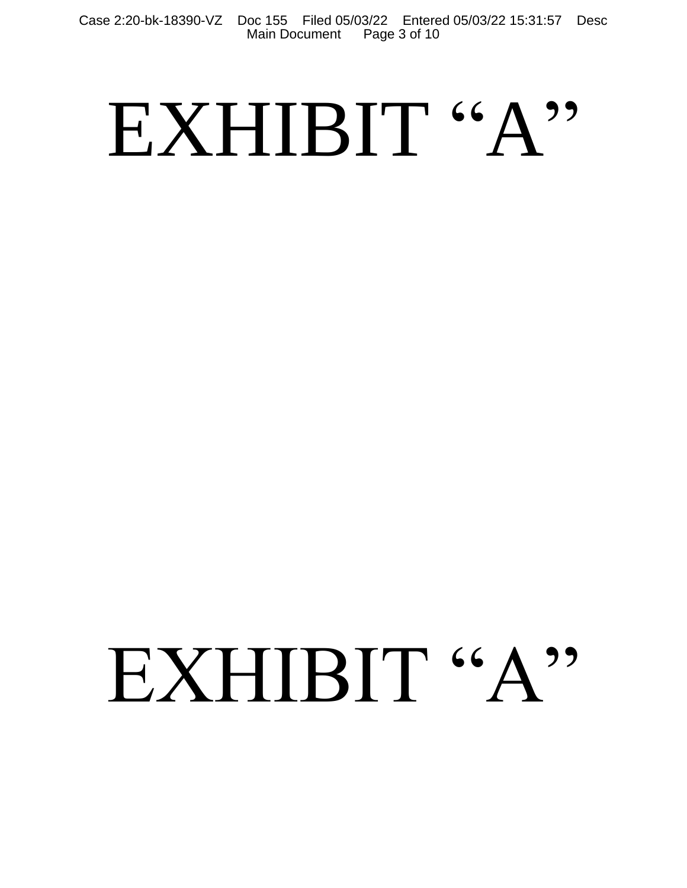Case 2:20-bk-18390-VZ Doc 155 Filed 05/03/22 Entered 05/03/22 15:31:57 Desc Main Document Page 3 of 10

# EXHIBIT "A"

# EXHIBIT "A"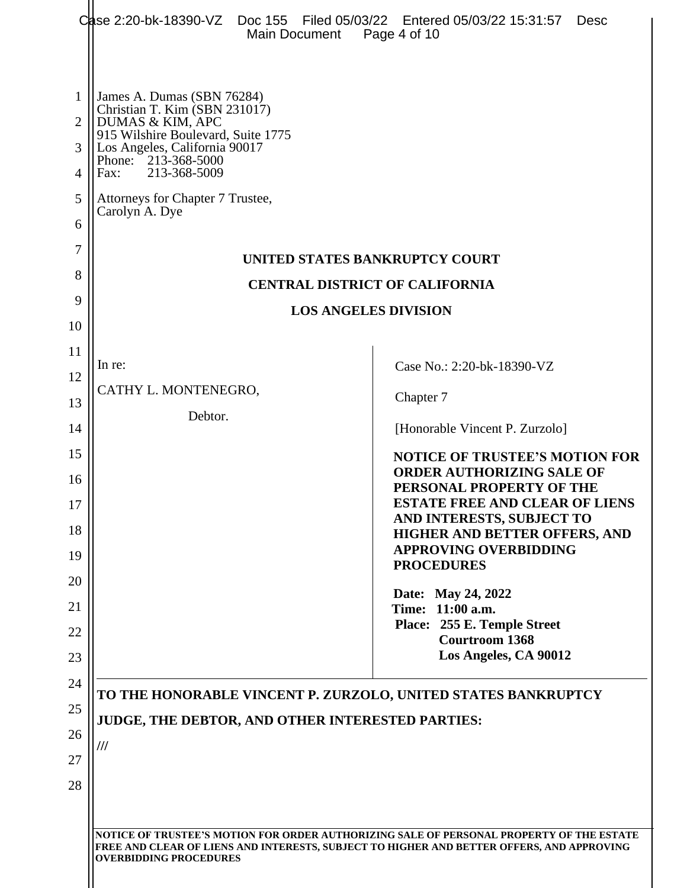|                       |                                                                                                                                                                                                       | Main Document                                    | Case 2:20-bk-18390-VZ Doc 155 Filed 05/03/22 Entered 05/03/22 15:31:57<br><b>Desc</b><br>Page 4 of 10                                                                                 |
|-----------------------|-------------------------------------------------------------------------------------------------------------------------------------------------------------------------------------------------------|--------------------------------------------------|---------------------------------------------------------------------------------------------------------------------------------------------------------------------------------------|
| 1<br>2<br>3<br>4<br>5 | James A. Dumas (SBN 76284)<br>Christian T. Kim (SBN 231017)<br>DUMAS & KIM, APC<br>915 Wilshire Boulevard, Suite 1775<br>Los Angeles, California 90017<br>Phone: 213-368-5000<br>213-368-5009<br>Fax: |                                                  |                                                                                                                                                                                       |
| 6                     | Attorneys for Chapter 7 Trustee,<br>Carolyn A. Dye                                                                                                                                                    |                                                  |                                                                                                                                                                                       |
| 7                     |                                                                                                                                                                                                       |                                                  | UNITED STATES BANKRUPTCY COURT                                                                                                                                                        |
| 8                     |                                                                                                                                                                                                       |                                                  | <b>CENTRAL DISTRICT OF CALIFORNIA</b>                                                                                                                                                 |
| 9                     |                                                                                                                                                                                                       |                                                  | <b>LOS ANGELES DIVISION</b>                                                                                                                                                           |
| 10<br>11              |                                                                                                                                                                                                       |                                                  |                                                                                                                                                                                       |
| 12                    | In re:                                                                                                                                                                                                |                                                  | Case No.: 2:20-bk-18390-VZ                                                                                                                                                            |
| 13                    | CATHY L. MONTENEGRO,                                                                                                                                                                                  |                                                  | Chapter 7                                                                                                                                                                             |
| 14                    | Debtor.                                                                                                                                                                                               |                                                  | [Honorable Vincent P. Zurzolo]                                                                                                                                                        |
| 15                    |                                                                                                                                                                                                       |                                                  | <b>NOTICE OF TRUSTEE'S MOTION FOR</b>                                                                                                                                                 |
| 16<br>17              |                                                                                                                                                                                                       |                                                  | <b>ORDER AUTHORIZING SALE OF</b><br>PERSONAL PROPERTY OF THE<br><b>ESTATE FREE AND CLEAR OF LIENS</b>                                                                                 |
| 18                    |                                                                                                                                                                                                       |                                                  | AND INTERESTS, SUBJECT TO<br><b>HIGHER AND BETTER OFFERS, AND</b><br><b>APPROVING OVERBIDDING</b>                                                                                     |
| 19<br>20              |                                                                                                                                                                                                       |                                                  | <b>PROCEDURES</b>                                                                                                                                                                     |
| 21<br>22<br>23        |                                                                                                                                                                                                       |                                                  | Date: May 24, 2022<br>Time: 11:00 a.m.<br>Place: 255 E. Temple Street<br><b>Courtroom 1368</b><br>Los Angeles, CA 90012                                                               |
| 24                    |                                                                                                                                                                                                       |                                                  | TO THE HONORABLE VINCENT P. ZURZOLO, UNITED STATES BANKRUPTCY                                                                                                                         |
| 25                    |                                                                                                                                                                                                       | JUDGE, THE DEBTOR, AND OTHER INTERESTED PARTIES: |                                                                                                                                                                                       |
| 26                    | $^{\prime\prime\prime}$                                                                                                                                                                               |                                                  |                                                                                                                                                                                       |
| 27                    |                                                                                                                                                                                                       |                                                  |                                                                                                                                                                                       |
| 28                    |                                                                                                                                                                                                       |                                                  |                                                                                                                                                                                       |
|                       | <b>OVERBIDDING PROCEDURES</b>                                                                                                                                                                         |                                                  | NOTICE OF TRUSTEE'S MOTION FOR ORDER AUTHORIZING SALE OF PERSONAL PROPERTY OF THE ESTATE<br>FREE AND CLEAR OF LIENS AND INTERESTS, SUBJECT TO HIGHER AND BETTER OFFERS, AND APPROVING |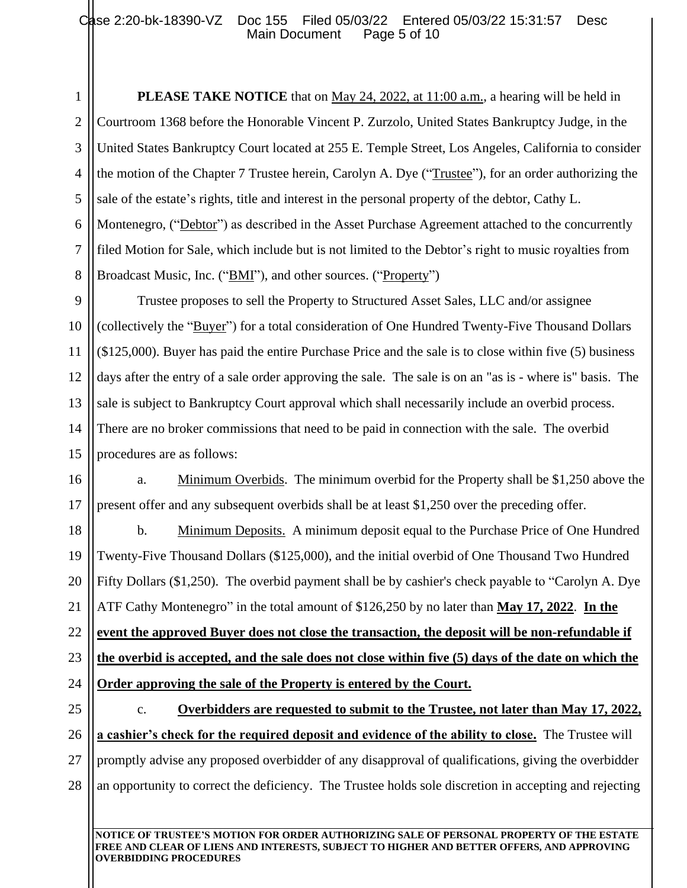1 2 3 4 5 6 7 8 **PLEASE TAKE NOTICE** that on May 24, 2022, at 11:00 a.m., a hearing will be held in Courtroom 1368 before the Honorable Vincent P. Zurzolo, United States Bankruptcy Judge, in the United States Bankruptcy Court located at 255 E. Temple Street, Los Angeles, California to consider the motion of the Chapter 7 Trustee herein, Carolyn A. Dye ("Trustee"), for an order authorizing the sale of the estate's rights, title and interest in the personal property of the debtor, Cathy L. Montenegro, ("Debtor") as described in the Asset Purchase Agreement attached to the concurrently filed Motion for Sale, which include but is not limited to the Debtor's right to music royalties from Broadcast Music, Inc. ("BMI"), and other sources. ("Property")

9 11 12 13 14 15 Trustee proposes to sell the Property to Structured Asset Sales, LLC and/or assignee (collectively the "Buyer") for a total consideration of One Hundred Twenty-Five Thousand Dollars (\$125,000). Buyer has paid the entire Purchase Price and the sale is to close within five (5) business days after the entry of a sale order approving the sale. The sale is on an "as is - where is" basis. The sale is subject to Bankruptcy Court approval which shall necessarily include an overbid process. There are no broker commissions that need to be paid in connection with the sale. The overbid procedures are as follows:

16 17 a. Minimum Overbids. The minimum overbid for the Property shall be \$1,250 above the present offer and any subsequent overbids shall be at least \$1,250 over the preceding offer.

18 19 20 21 22 23 24 b. Minimum Deposits. A minimum deposit equal to the Purchase Price of One Hundred Twenty-Five Thousand Dollars (\$125,000), and the initial overbid of One Thousand Two Hundred Fifty Dollars (\$1,250). The overbid payment shall be by cashier's check payable to "Carolyn A. Dye ATF Cathy Montenegro" in the total amount of \$126,250 by no later than **May 17, 2022**. **In the event the approved Buyer does not close the transaction, the deposit will be non-refundable if the overbid is accepted, and the sale does not close within five (5) days of the date on which the Order approving the sale of the Property is entered by the Court.**

25 26 27 28 c. **Overbidders are requested to submit to the Trustee, not later than May 17, 2022, a cashier's check for the required deposit and evidence of the ability to close.** The Trustee will promptly advise any proposed overbidder of any disapproval of qualifications, giving the overbidder an opportunity to correct the deficiency. The Trustee holds sole discretion in accepting and rejecting

**NOTICE OF TRUSTEE'S MOTION FOR ORDER AUTHORIZING SALE OF PERSONAL PROPERTY OF THE ESTATE FREE AND CLEAR OF LIENS AND INTERESTS, SUBJECT TO HIGHER AND BETTER OFFERS, AND APPROVING OVERBIDDING PROCEDURES**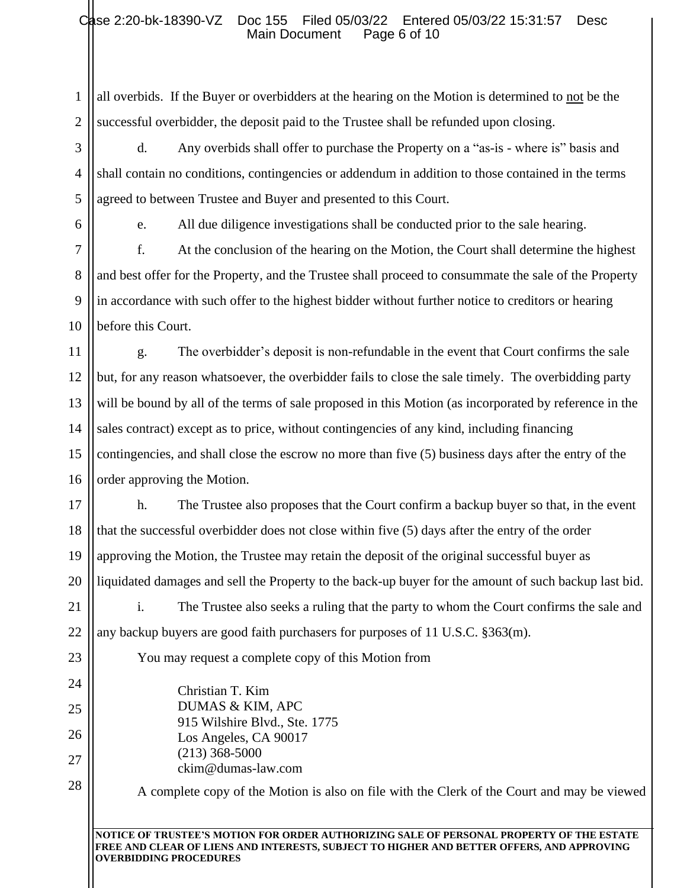# Case 2:20-bk-18390-VZ Doc 155 Filed 05/03/22 Entered 05/03/22 15:31:57 Desc Main Document Page 6 of 10

1 2 all overbids. If the Buyer or overbidders at the hearing on the Motion is determined to not be the successful overbidder, the deposit paid to the Trustee shall be refunded upon closing.

3 4 5 d. Any overbids shall offer to purchase the Property on a "as-is - where is" basis and shall contain no conditions, contingencies or addendum in addition to those contained in the terms agreed to between Trustee and Buyer and presented to this Court.

6

7

8

9

10

23

24

25

26

27

28

e. All due diligence investigations shall be conducted prior to the sale hearing.

f. At the conclusion of the hearing on the Motion, the Court shall determine the highest and best offer for the Property, and the Trustee shall proceed to consummate the sale of the Property in accordance with such offer to the highest bidder without further notice to creditors or hearing before this Court.

11 12 13 14 15 16 g. The overbidder's deposit is non-refundable in the event that Court confirms the sale but, for any reason whatsoever, the overbidder fails to close the sale timely. The overbidding party will be bound by all of the terms of sale proposed in this Motion (as incorporated by reference in the sales contract) except as to price, without contingencies of any kind, including financing contingencies, and shall close the escrow no more than five (5) business days after the entry of the order approving the Motion.

17 18 19 20 h. The Trustee also proposes that the Court confirm a backup buyer so that, in the event that the successful overbidder does not close within five (5) days after the entry of the order approving the Motion, the Trustee may retain the deposit of the original successful buyer as liquidated damages and sell the Property to the back-up buyer for the amount of such backup last bid.

21 22 i. The Trustee also seeks a ruling that the party to whom the Court confirms the sale and any backup buyers are good faith purchasers for purposes of 11 U.S.C. §363(m).

You may request a complete copy of this Motion from

Christian T. Kim DUMAS & KIM, APC 915 Wilshire Blvd., Ste. 1775 Los Angeles, CA 90017 (213) 368-5000 ckim@dumas-law.com

A complete copy of the Motion is also on file with the Clerk of the Court and may be viewed

**NOTICE OF TRUSTEE'S MOTION FOR ORDER AUTHORIZING SALE OF PERSONAL PROPERTY OF THE ESTATE FREE AND CLEAR OF LIENS AND INTERESTS, SUBJECT TO HIGHER AND BETTER OFFERS, AND APPROVING OVERBIDDING PROCEDURES**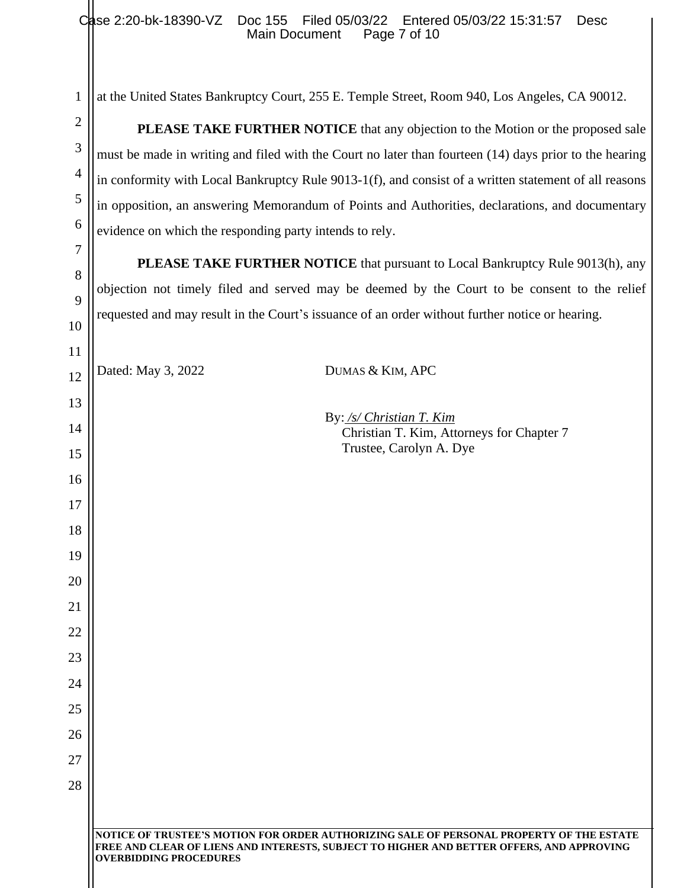# Case 2:20-bk-18390-VZ Doc 155 Filed 05/03/22 Entered 05/03/22 15:31:57 Desc Main Document Page 7 of 10

| 1              | at the United States Bankruptcy Court, 255 E. Temple Street, Room 940, Los Angeles, CA 90012.                                                                                                                          |  |  |
|----------------|------------------------------------------------------------------------------------------------------------------------------------------------------------------------------------------------------------------------|--|--|
| $\overline{2}$ | <b>PLEASE TAKE FURTHER NOTICE</b> that any objection to the Motion or the proposed sale                                                                                                                                |  |  |
| 3              | must be made in writing and filed with the Court no later than fourteen (14) days prior to the hearing                                                                                                                 |  |  |
| $\overline{4}$ | in conformity with Local Bankruptcy Rule 9013-1(f), and consist of a written statement of all reasons                                                                                                                  |  |  |
| 5              | in opposition, an answering Memorandum of Points and Authorities, declarations, and documentary                                                                                                                        |  |  |
| 6              | evidence on which the responding party intends to rely.                                                                                                                                                                |  |  |
| 7              | <b>PLEASE TAKE FURTHER NOTICE</b> that pursuant to Local Bankruptcy Rule 9013(h), any                                                                                                                                  |  |  |
| 8              | objection not timely filed and served may be deemed by the Court to be consent to the relief                                                                                                                           |  |  |
| 9              | requested and may result in the Court's issuance of an order without further notice or hearing.                                                                                                                        |  |  |
| 10             |                                                                                                                                                                                                                        |  |  |
| 11             | Dated: May 3, 2022<br>DUMAS & KIM, APC                                                                                                                                                                                 |  |  |
| 12             |                                                                                                                                                                                                                        |  |  |
| 13<br>14       | By: /s/ Christian T. Kim                                                                                                                                                                                               |  |  |
| 15             | Christian T. Kim, Attorneys for Chapter 7<br>Trustee, Carolyn A. Dye                                                                                                                                                   |  |  |
| 16             |                                                                                                                                                                                                                        |  |  |
| 17             |                                                                                                                                                                                                                        |  |  |
| 18             |                                                                                                                                                                                                                        |  |  |
| 19             |                                                                                                                                                                                                                        |  |  |
| 20             |                                                                                                                                                                                                                        |  |  |
| 21             |                                                                                                                                                                                                                        |  |  |
| 22             |                                                                                                                                                                                                                        |  |  |
| 23             |                                                                                                                                                                                                                        |  |  |
| 24             |                                                                                                                                                                                                                        |  |  |
| 25             |                                                                                                                                                                                                                        |  |  |
| 26             |                                                                                                                                                                                                                        |  |  |
| 27             |                                                                                                                                                                                                                        |  |  |
| 28             |                                                                                                                                                                                                                        |  |  |
|                |                                                                                                                                                                                                                        |  |  |
|                | NOTICE OF TRUSTEE'S MOTION FOR ORDER AUTHORIZING SALE OF PERSONAL PROPERTY OF THE ESTATE<br>FREE AND CLEAR OF LIENS AND INTERESTS, SUBJECT TO HIGHER AND BETTER OFFERS, AND APPROVING<br><b>OVERBIDDING PROCEDURES</b> |  |  |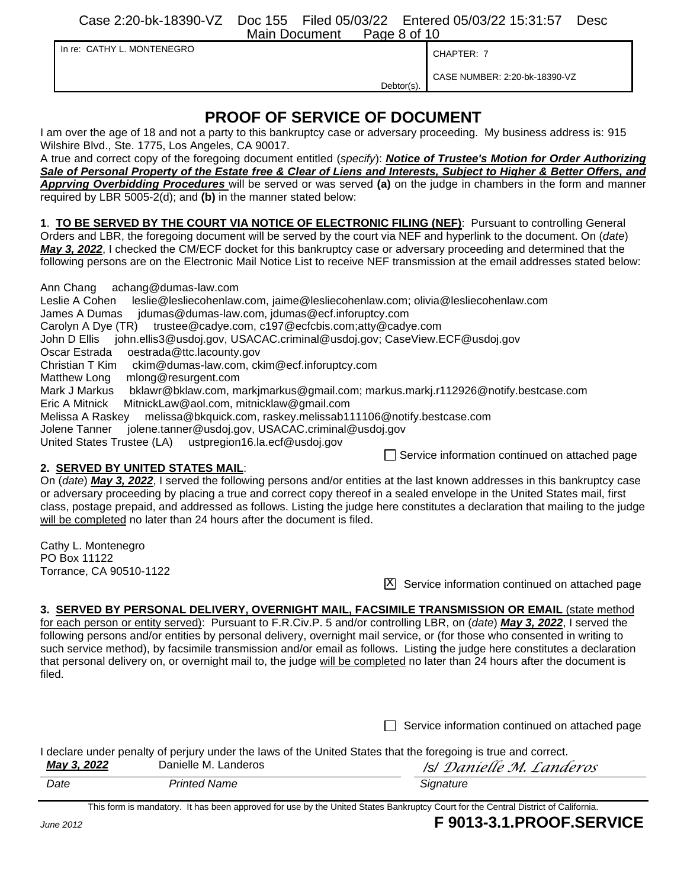Case 2:20-bk-18390-VZ Doc 155 Filed 05/03/22 Entered 05/03/22 15:31:57 Desc Main Document Page 8 of 10

|  |  | In re: CATHY L. MONTENEGRO |
|--|--|----------------------------|
|--|--|----------------------------|

CHAPTER: 7

Debtor(s) CASE NUMBER: 2:20-bk-18390-VZ

# **PROOF OF SERVICE OF DOCUMENT**

I am over the age of 18 and not a party to this bankruptcy case or adversary proceeding. My business address is: 915 Wilshire Blvd., Ste. 1775, Los Angeles, CA 90017.

A true and correct copy of the foregoing document entitled (*specify*): *Notice of Trustee's Motion for Order Authorizing Sale of Personal Property of the Estate free & Clear of Liens and Interests, Subject to Higher & Better Offers, and Apprving Overbidding Procedures* will be served or was served **(a)** on the judge in chambers in the form and manner required by LBR 5005-2(d); and **(b)** in the manner stated below:

**1**. **TO BE SERVED BY THE COURT VIA NOTICE OF ELECTRONIC FILING (NEF)**: Pursuant to controlling General Orders and LBR, the foregoing document will be served by the court via NEF and hyperlink to the document. On (*date*) *May 3, 2022*, I checked the CM/ECF docket for this bankruptcy case or adversary proceeding and determined that the following persons are on the Electronic Mail Notice List to receive NEF transmission at the email addresses stated below:

Ann Chang achang@dumas-law.com

| Leslie A Cohen                            | leslie@lesliecohenlaw.com, jaime@lesliecohenlaw.com; olivia@lesliecohenlaw.com        |
|-------------------------------------------|---------------------------------------------------------------------------------------|
| James A Dumas                             | jdumas@dumas-law.com, jdumas@ecf.inforuptcy.com                                       |
|                                           | Carolyn A Dye (TR) trustee@cadye.com, c197@ecfcbis.com;atty@cadye.com                 |
|                                           | John D Ellis john.ellis3@usdoj.gov, USACAC.criminal@usdoj.gov; CaseView.ECF@usdoj.gov |
| Oscar Estrada                             | oestrada@ttc.lacounty.gov                                                             |
| $\bigcap$ build is a $\top$ $\bigcup$ ine | alden Qalussaa lauu sama jaldes Qaafiinfamintau sama                                  |

Christian T Kim ckim@dumas-law.com, ckim@ecf.inforuptcy.com

Matthew Long mlong@resurgent.com

Mark J Markus bklawr@bklaw.com, markjmarkus@gmail.com; markus.markj.r112926@notify.bestcase.com

Eric A Mitnick MitnickLaw@aol.com, mitnicklaw@gmail.com

Melissa A Raskey melissa@bkquick.com, raskey.melissab111106@notify.bestcase.com

Jolene Tanner jolene.tanner@usdoj.gov, USACAC.criminal@usdoj.gov

United States Trustee (LA) ustpregion16.la.ecf@usdoj.gov

 $\Box$  Service information continued on attached page

## **2. SERVED BY UNITED STATES MAIL**:

On (*date*) *May 3, 2022*, I served the following persons and/or entities at the last known addresses in this bankruptcy case or adversary proceeding by placing a true and correct copy thereof in a sealed envelope in the United States mail, first class, postage prepaid, and addressed as follows. Listing the judge here constitutes a declaration that mailing to the judge will be completed no later than 24 hours after the document is filed.

Cathy L. Montenegro PO Box 11122 Torrance, CA 90510-1122

 $\overline{X}$  Service information continued on attached page

# **3. SERVED BY PERSONAL DELIVERY, OVERNIGHT MAIL, FACSIMILE TRANSMISSION OR EMAIL** (state method

for each person or entity served): Pursuant to F.R.Civ.P. 5 and/or controlling LBR, on (*date*) *May 3, 2022*, I served the following persons and/or entities by personal delivery, overnight mail service, or (for those who consented in writing to such service method), by facsimile transmission and/or email as follows. Listing the judge here constitutes a declaration that personal delivery on, or overnight mail to, the judge will be completed no later than 24 hours after the document is filed.

 $\Box$  Service information continued on attached page

I declare under penalty of perjury under the laws of the United States that the foregoing is true and correct.<br>May 2,2022

| May 3, 2022 | Danielle M. Landeros | <i>Isl Danielle M. Landeros</i> |
|-------------|----------------------|---------------------------------|
| Date        | <b>Printed Name</b>  | Signature                       |

This form is mandatory. It has been approved for use by the United States Bankruptcy Court for the Central District of California.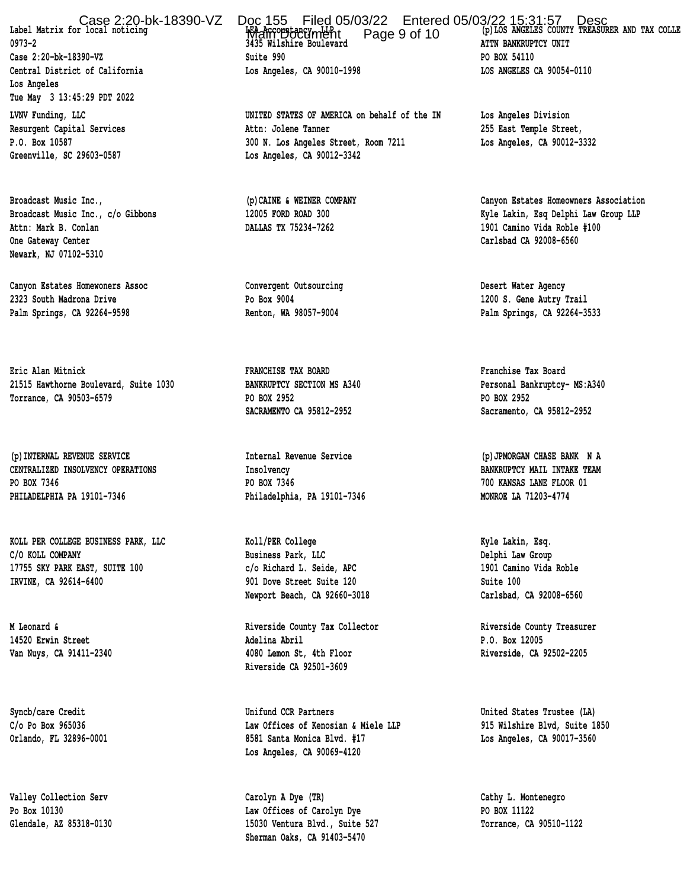Case 2:20-bk-18390-VZ Doc 155 Filed 05/03/22 Entered 05/03/22 15:31:57 Desc<br>Label Matrix for local noticing **(p)LOS ANGELES COUNTY TREASURER AND TAX COLLE** 

 **Los Angeles Tue May 3 13:45:29 PDT 2022 LVNV Funding, LLC UNITED STATES OF AMERICA on behalf of the IN Los Angeles Division**

 **Attn: Mark B. Conlan DALLAS TX 75234-7262 1901 Camino Vida Roble #100 One Gateway Center Carlsbad CA 92008-6560 Newark, NJ 07102-5310**

 **Canyon Estates Homewoners Assoc Convergent Outsourcing Desert Water Agency 2323 South Madrona Drive Po Box 9004 1200 S. Gene Autry Trail Palm Springs, CA 92264-9598 Renton, WA 98057-9004 Palm Springs, CA 92264-3533**

 **Eric Alan Mitnick FRANCHISE TAX BOARD Franchise Tax Board 21515 Hawthorne Boulevard, Suite 1030 BANKRUPTCY SECTION MS A340 Personal Bankruptcy- MS:A340 Torrance, CA 90503-6579 PO BOX 2952 PO BOX 2952**

**(p)INTERNAL REVENUE SERVICE Internal Revenue Service (p)JPMORGAN CHASE BANK N A CENTRALIZED INSOLVENCY OPERATIONS Insolvency BANKRUPTCY MAIL INTAKE TEAM PO BOX 7346 PO BOX 7346 700 KANSAS LANE FLOOR 01 PHILADELPHIA PA 19101-7346 Philadelphia, PA 19101-7346 MONROE LA 71203-4774**

 **KOLL PER COLLEGE BUSINESS PARK, LLC Koll/PER College Kyle Lakin, Esq. C/O KOLL COMPANY Business Park, LLC Delphi Law Group 17755 SKY PARK EAST, SUITE 100 c/o Richard L. Seide, APC 1901 Camino Vida Roble IRVINE, CA 92614-6400 901 Dove Street Suite 120 Suite 100**

Label Matrix for local noticing **by the server of the server of the server of the server of the server of the server**<br>
3435 Wilshire Boulevard **ATTN BANKRUPTCY UNIT Case 2:20-bk-18390-VZ Suite 990 PO BOX 54110 Central District of California Los Angeles, CA 90010-1998 LOS ANGELES CA 90054-0110**

 **Resurgent Capital Services Attn: Jolene Tanner 255 East Temple Street, P.O. Box 10587 300 N. Los Angeles Street, Room 7211 Los Angeles, CA 90012-3332 Greenville, SC 29603-0587 Los Angeles, CA 90012-3342**

**Newport Beach, CA 92660-3018 Carlsbad, CA 92008-6560**

 **M Leonard & Riverside County Tax Collector Riverside County Treasurer 14520 Erwin Street Adelina Abril P.O. Box 12005 Van Nuys, CA 91411-2340 4080 Lemon St, 4th Floor Riverside, CA 92502-2205 Riverside CA 92501-3609**

 **Syncb/care Credit Unifund CCR Partners United States Trustee (LA) C/o Po Box 965036 Law Offices of Kenosian & Miele LLP 915 Wilshire Blvd, Suite 1850 Orlando, FL 32896-0001 8581 Santa Monica Blvd. #17 Los Angeles, CA 90017-3560 Los Angeles, CA 90069-4120**

 **Valley Collection Serv Carolyn A Dye (TR) Cathy L. Montenegro Po Box 10130 Law Offices of Carolyn Dye PO BOX 11122 Glendale, AZ 85318-0130 15030 Ventura Blvd., Suite 527 Torrance, CA 90510-1122 Sherman Oaks, CA 91403-5470**

 **Broadcast Music Inc., (p)CAINE & WEINER COMPANY Canyon Estates Homeowners Association Broadcast Music Inc., c/o Gibbons 12005 FORD ROAD 300 Kyle Lakin, Esq Delphi Law Group LLP**

**SACRAMENTO CA 95812-2952 Sacramento, CA 95812-2952**